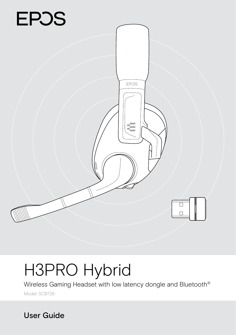

# H3PRO Hybrid

Wireless Gaming Headset with low latency dongle and Bluetooth®

Model: SCBT26

User Guide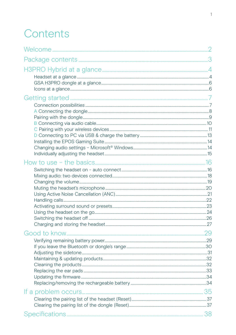## Contents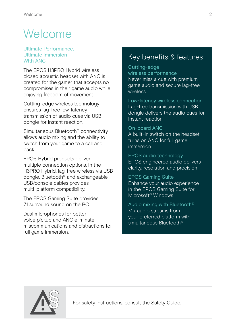## <span id="page-2-0"></span>**Welcome**

#### Ultimate Performance, Ultimate Immersion With ANC

The EPOS H3PRO Hybrid wireless closed acoustic headset with ANC is created for the gamer that accepts no compromises in their game audio while enjoying freedom of movement.

Cutting-edge wireless technology ensures lag-free low-latency transmission of audio cues via USB dongle for instant reaction.

Simultaneous Bluetooth® connectivity allows audio mixing and the ability to switch from your game to a call and back.

EPOS Hybrid products deliver multiple connection options. In the H3PRO Hybrid, lag-free wireless via USB dongle, Bluetooth® and exchangeable USB/console cables provides multi-platform compatibility.

The EPOS Gaming Suite provides 71 surround sound on the PC.

Dual microphones for better voice pickup and ANC eliminate miscommunications and distractions for full game immersion.

### Key benefits & features

Cutting-edge wireless performance Never miss a cue with premium game audio and secure lag-free wireless

Low-latency wireless connection Lag-free transmission with USB dongle delivers the audio cues for instant reaction

#### On-board ANC

A built-in switch on the headset turns on ANC for full game immersion

EPOS audio technology EPOS engineered audio delivers clarity, resolution and precision

#### EPOS Gaming Suite Enhance your audio experience in the EPOS Gaming Suite for

Microsoft® Windows

Audio mixing with Bluetooth® Mix audio streams from your preferred platform with simultaneous Bluetooth®



For safety instructions, consult the Safety Guide.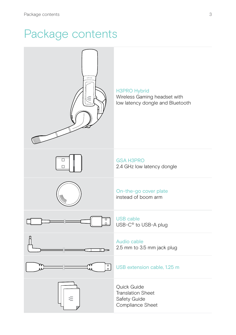## <span id="page-3-0"></span>Package contents

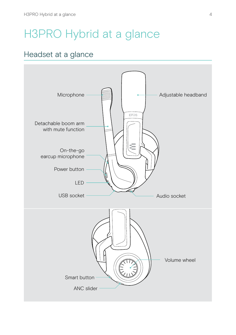## <span id="page-4-0"></span>H3PRO Hybrid at a glance

### Headset at a glance

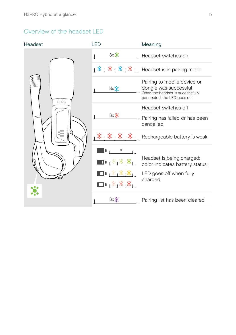#### Overview of the headset LED

| Headset   | <b>LED</b>                                    | Meaning                                                                                                                  |
|-----------|-----------------------------------------------|--------------------------------------------------------------------------------------------------------------------------|
|           | $3x$ $\ddot{?}$                               | Headset switches on                                                                                                      |
|           | 寨<br>愙                                        | $\frac{\mathcal{K}}{\mathcal{K}}$   $\frac{\mathcal{K}}{\mathcal{K}}$    Headset is in pairing mode                      |
| EPOS<br>W | 3x                                            | Pairing to mobile device or<br>dongle was successful<br>Once the headset is successfully<br>connected, the LED goes off. |
|           | $3x$ $\ddot{}$                                | Headset switches off                                                                                                     |
|           |                                               | Pairing has failed or has been<br>cancelled                                                                              |
|           | 瀿<br>纂<br>D,                                  | Rechargeable battery is weak                                                                                             |
|           | $\Box$ l $\mathbb{R}_1\mathbb{Z}_1\mathbb{Z}$ | Headset is being charged:<br>color indicates battery status;<br>LED goes off when fully<br>charged                       |
|           | 3x                                            | Pairing list has been cleared                                                                                            |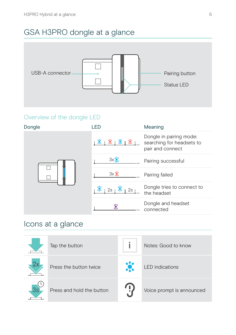## <span id="page-6-0"></span>GSA H3PRO dongle at a glance



#### Overview of the dongle LED



### Icons at a glance

|    | Tap the button            | Notes: Good to know       |
|----|---------------------------|---------------------------|
|    | Press the button twice    | <b>LED</b> indications    |
| 3s | Press and hold the button | Voice prompt is announced |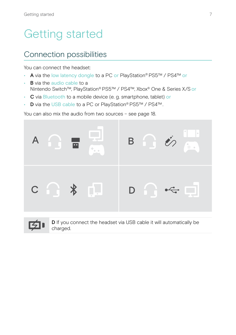## <span id="page-7-0"></span>Getting started

### Connection possibilities

You can connect the headset:

- A via the low latency dongle to a PC or PlayStation® PS5™ / PS4™ or
- **B** via the audio cable to a Nintendo Switch™, PlayStation® PS5™ / PS4™, Xbox® One & Series X/S or
- C via Bluetooth to a mobile device (e. g. smartphone, tablet) or
- D via the USB cable to a PC or PlayStation® PS5™ / PS4™ .

You can also mix the audio from two sources – see page [18](#page-18-1).





D If you connect the headset via USB cable it will automatically be charged.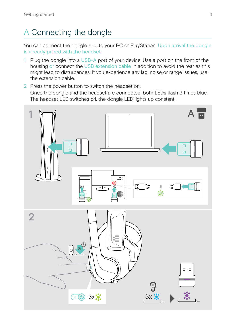## <span id="page-8-1"></span><span id="page-8-0"></span>A Connecting the dongle

You can connect the dongle e. g. to your PC or PlayStation. Upon arrival the dongle is already paired with the headset.

- 1 Plug the dongle into a USB-A port of your device. Use a port on the front of the housing or connect the USB extension cable in addition to avoid the rear as this might lead to disturbances. If you experience any lag, noise or range issues, use the extension cable.
- 2 Press the power button to switch the headset on. Once the dongle and the headset are connected, both LEDs flash 3 times blue. The headset LED switches off, the dongle LED lights up constant.

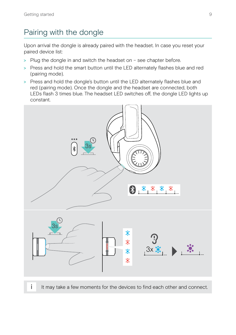## <span id="page-9-1"></span><span id="page-9-0"></span>Pairing with the dongle

Upon arrival the dongle is already paired with the headset. In case you reset your paired device list:

- > Plug the dongle in and switch the headset on see chapter before.
- > Press and hold the smart button until the LED alternately flashes blue and red (pairing mode).
- > Press and hold the dongle's button until the LED alternately flashes blue and red (pairing mode). Once the dongle and the headset are connected, both LEDs flash 3 times blue. The headset LED switches off, the dongle LED lights up constant.



i It may take a few moments for the devices to find each other and connect.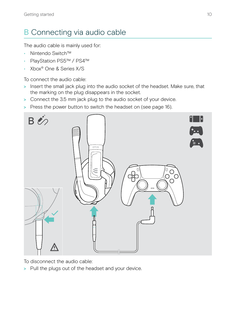## <span id="page-10-1"></span><span id="page-10-0"></span>B Connecting via audio cable

The audio cable is mainly used for:

- Nintendo Switch™
- PlayStation PS5™ / PS4™
- Xbox® One & Series X/S

To connect the audio cable:

- > Insert the small jack plug into the audio socket of the headset. Make sure, that the marking on the plug disappears in the socket.
- > Connect the 3.5 mm jack plug to the audio socket of your device.
- > Press the power button to switch the headset on (see page [16](#page-16-1)).



To disconnect the audio cable:

> Pull the plugs out of the headset and your device.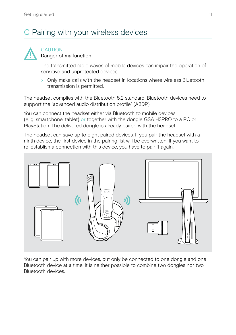## <span id="page-11-1"></span><span id="page-11-0"></span>C Pairing with your wireless devices



#### **CAUTION** Danger of malfunction!

The transmitted radio waves of mobile devices can impair the operation of sensitive and unprotected devices.

> Only make calls with the headset in locations where wireless Bluetooth transmission is permitted.

The headset complies with the Bluetooth 5.2 standard. Bluetooth devices need to support the "advanced audio distribution profile" (A2DP).

You can connect the headset either via Bluetooth to mobile devices (e. g. smartphone, tablet) or together with the dongle GSA H3PRO to a PC or PlayStation. The delivered dongle is already paired with the headset.

The headset can save up to eight paired devices. If you pair the headset with a ninth device, the first device in the pairing list will be overwritten. If you want to re-establish a connection with this device, you have to pair it again.



You can pair up with more devices, but only be connected to one dongle and one Bluetooth device at a time. It is neither possible to combine two dongles nor two Bluetooth devices.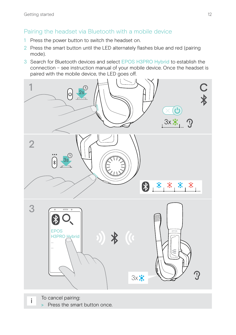#### Pairing the headset via Bluetooth with a mobile device

- 1 Press the power button to switch the headset on.
- 2 Press the smart button until the LED alternately flashes blue and red (pairing mode).
- 3 Search for Bluetooth devices and select EPOS H3PRO Hybrid to establish the connection – see instruction manual of your mobile device. Once the headset is paired with the mobile device, the LED goes off.

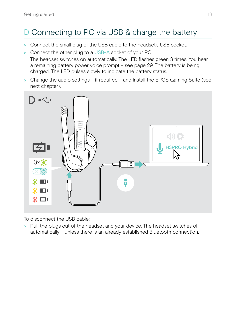## <span id="page-13-1"></span><span id="page-13-0"></span>D Connecting to PC via USB & charge the battery

- > Connect the small plug of the USB cable to the headset's USB socket.
- > Connect the other plug to a USB-A socket of your PC.

The headset switches on automatically. The LED flashes green 3 times. You hear a remaining battery power voice prompt – see page [29.](#page-29-1) The battery is being charged. The LED pulses slowly to indicate the battery status.

> Change the audio settings – if required – and install the EPOS Gaming Suite (see next chapter).



To disconnect the USB cable:

> Pull the plugs out of the headset and your device. The headset switches off automatically – unless there is an already established Bluetooth connection.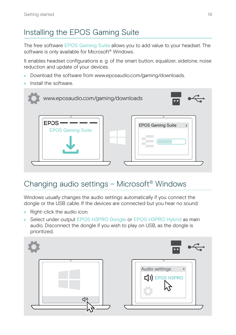## <span id="page-14-1"></span><span id="page-14-0"></span>Installing the EPOS Gaming Suite

The free software EPOS Gaming Suite allows you to add value to your headset. The software is only available for Microsoft® Windows.

It enables headset configurations e. g. of the smart button, equalizer, sidetone, noise reduction and update of your devices.

- > Download the software from www.eposaudio.com/gaming/downloads.
- > Install the software.



## Changing audio settings – Microsoft® Windows

Windows usually changes the audio settings automatically if you connect the dongle or the USB cable. If the devices are connected but you hear no sound:

- > Right-click the audio icon.
- > Select under output EPOS H3PRO Dongle or EPOS H3PRO Hybrid as main audio. Disconnect the dongle if you wish to play on USB, as the dongle is prioritized.

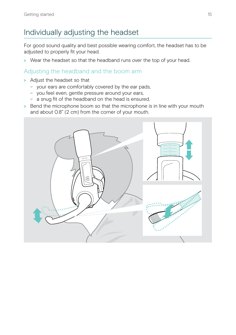## <span id="page-15-0"></span>Individually adjusting the headset

For good sound quality and best possible wearing comfort, the headset has to be adjusted to properly fit your head.

> Wear the headset so that the headband runs over the top of your head.

#### Adjusting the headband and the boom arm

- > Adjust the headset so that
	- your ears are comfortably covered by the ear pads,
	- you feel even, gentle pressure around your ears,
	- a snug fit of the headband on the head is ensured.
- > Bend the microphone boom so that the microphone is in line with your mouth and about 0.8" (2 cm) from the corner of your mouth.

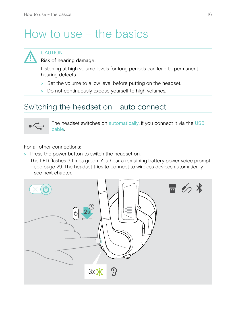## <span id="page-16-0"></span>How to use – the basics



### **CAUTION**

#### Risk of hearing damage!

Listening at high volume levels for long periods can lead to permanent hearing defects.

- > Set the volume to a low level before putting on the headset.
- > Do not continuously expose yourself to high volumes.

### <span id="page-16-1"></span>Switching the headset on - auto connect



The headset switches on automatically, if you connect it via the USB cable.

For all other connections:

> Press the power button to switch the headset on.

The LED flashes 3 times green. You hear a remaining battery power voice prompt

- see page [29](#page-29-1). The headset tries to connect to wireless devices automatically
- see next chapter.

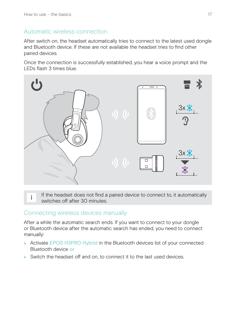#### Automatic wireless connection

After switch on, the headset automatically tries to connect to the latest used dongle and Bluetooth device. If these are not available the headset tries to find other paired devices.

Once the connection is successfully established, you hear a voice prompt and the LEDs flash 3 times blue.



i If the headset does not find a paired device to connect to, it automatically switches off after 30 minutes.

#### Connecting wireless devices manually

After a while the automatic search ends. If you want to connect to your dongle or Bluetooth device after the automatic search has ended, you need to connect manually:

- > Activate EPOS H3PRO Hybrid in the Bluetooth devices list of your connected Bluetooth device or
- > Switch the headset off and on, to connect it to the last used devices.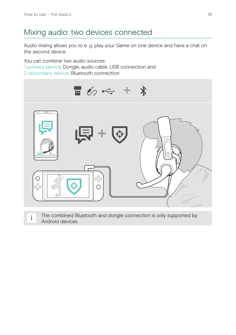## <span id="page-18-1"></span><span id="page-18-0"></span>Mixing audio: two devices connected

Audio mixing allows you to e. g. play your Game on one device and have a chat on the second device.

You can combine two audio sources: 1 primary device: Dongle, audio cable, USB connection and 2 secondary device: Bluetooth connection



The combined Bluetooth and dongle connection is only supported by Android devices.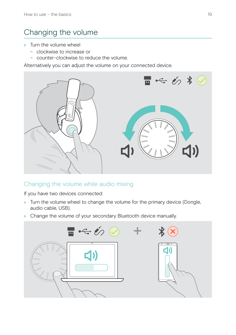## <span id="page-19-1"></span><span id="page-19-0"></span>Changing the volume

- > Turn the volume wheel
	- clockwise to increase or
	- counter-clockwise to reduce the volume.

Alternatively you can adjust the volume on your connected device.





#### Changing the volume while audio mixing

If you have two devices connected:

- > Turn the volume wheel to change the volume for the primary device (Dongle, audio cable, USB).
- > Change the volume of your secondary Bluetooth device manually.

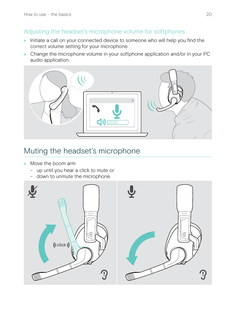#### <span id="page-20-0"></span>Adjusting the headset's microphone volume for softphones

- > Initiate a call on your connected device to someone who will help you find the correct volume setting for your microphone.
- > Change the microphone volume in your softphone application and/or in your PC audio application.



### Muting the headset's microphone

- > Move the boom arm
	- up until you hear a click to mute or
	- down to unmute the microphone.

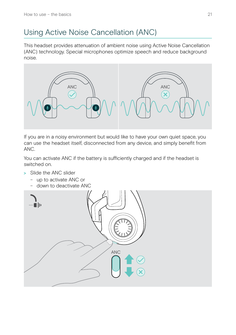## <span id="page-21-0"></span>Using Active Noise Cancellation (ANC)

This headset provides attenuation of ambient noise using Active Noise Cancellation (ANC) technology. Special microphones optimize speech and reduce background noise.



If you are in a noisy environment but would like to have your own quiet space, you can use the headset itself, disconnected from any device, and simply benefit from ANC.

You can activate ANC if the battery is sufficiently charged and if the headset is switched on.

- > Slide the ANC slider
	- up to activate ANC or
	- down to deactivate ANC

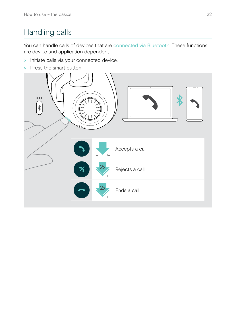## <span id="page-22-0"></span>Handling calls

You can handle calls of devices that are connected via Bluetooth. These functions are device and application dependent.

- > Initiate calls via your connected device.
- > Press the smart button:

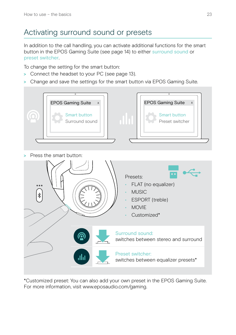## <span id="page-23-0"></span>Activating surround sound or presets

In addition to the call handling, you can activate additional functions for the smart button in the EPOS Gaming Suite (see page [14](#page-14-1)) to either surround sound or preset switcher.

To change the setting for the smart button:

- > Connect the headset to your PC (see page [13\)](#page-13-1).
- > Change and save the settings for the smart button via EPOS Gaming Suite.



\*Customized preset: You can also add your own preset in the EPOS Gaming Suite. For more information, visit www.eposaudio.com/gaming.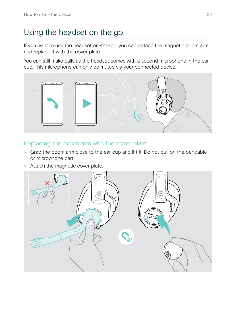## <span id="page-24-0"></span>Using the headset on the go

If you want to use the headset on-the-go, you can detach the magnetic boom arm and replace it with the cover plate.

You can still make calls as the headset comes with a second microphone in the ear cup. This microphone can only be muted via your connected device.



#### Replacing the boom arm with the cover plate

- > Grab the boom arm close to the ear cup and lift it. Do not pull on the bendable or microphone part.
- > Attach the magnetic cover plate.

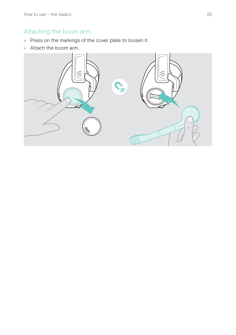#### Attaching the boom arm

- > Press on the markings of the cover plate to loosen it.
- > Attach the boom arm.

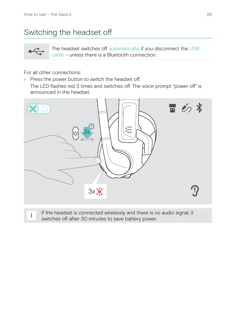## <span id="page-26-1"></span><span id="page-26-0"></span>Switching the headset off

 $\leftarrow$ 

The headset switches off automatically, if you disconnect the USB cable – unless there is a Bluetooth connection.

For all other connections:

> Press the power button to switch the headset off. The LED flashes red 3 times and switches off. The voice prompt "power off" is announced in the headset.



i If the headset is connected wirelessly and there is no audio signal, it switches off after 30 minutes to save battery power.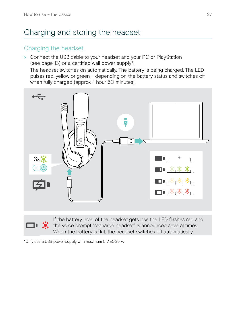## <span id="page-27-1"></span><span id="page-27-0"></span>Charging and storing the headset

#### Charging the headset

> Connect the USB cable to your headset and your PC or PlayStation (see page [13\)](#page-13-1) or a certified wall power supply\*.

The headset switches on automatically. The battery is being charged. The LED pulses red, yellow or green – depending on the battery status and switches off when fully charged (approx. 1 hour 50 minutes).





If the battery level of the headset gets low, the LED flashes red and  $\Box$   $\ddot{\bullet}$  the voice prompt "recharge headset" is announced several times. When the battery is flat, the headset switches off automatically.

\*Only use a USB power supply with maximum 5 V ±0.25 V.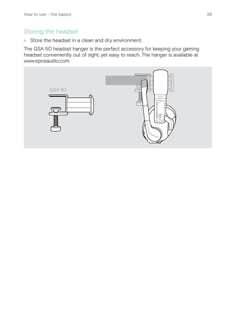#### Storing the headset

> Store the headset in a clean and dry environment.

The GSA 50 headset hanger is the perfect accessory for keeping your gaming headset conveniently out of sight, yet easy to reach. The hanger is available at www.eposaudio.com.

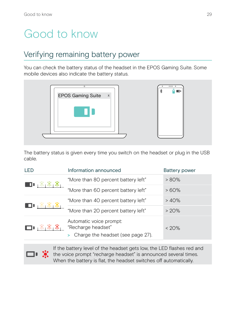## <span id="page-29-0"></span>Good to know

## <span id="page-29-1"></span>Verifying remaining battery power

You can check the battery status of the headset in the EPOS Gaming Suite. Some mobile devices also indicate the battery status.



The battery status is given every time you switch on the headset or plug in the USB cable.

| I FD                                | Information announced                                                              | Battery power |
|-------------------------------------|------------------------------------------------------------------------------------|---------------|
| ■■ ※ ※                              | "More than 80 percent battery left"                                                | $> 80\%$      |
|                                     | "More than 60 percent battery left"                                                | $>60\%$       |
|                                     | "More than 40 percent battery left"                                                | >40%          |
|                                     | "More than 20 percent battery left"                                                | > 20%         |
| $\Box$ , $\mathbb{Z}[\mathbb{Z}_2]$ | Automatic voice prompt:<br>"Recharge headset"<br>Charge the headset (see page 27). | $< 20\%$      |



If the battery level of the headset gets low, the LED flashes red and **the voice prompt "recharge headset" is announced several times.** When the battery is flat, the headset switches off automatically.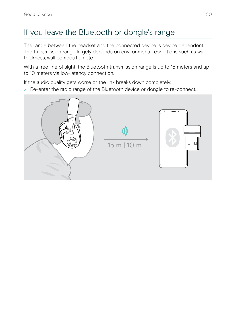## <span id="page-30-0"></span>If you leave the Bluetooth or dongle's range

The range between the headset and the connected device is device dependent. The transmission range largely depends on environmental conditions such as wall thickness, wall composition etc.

With a free line of sight, the Bluetooth transmission range is up to 15 meters and up to 10 meters via low-latency connection.

If the audio quality gets worse or the link breaks down completely:

> Re-enter the radio range of the Bluetooth device or dongle to re-connect.

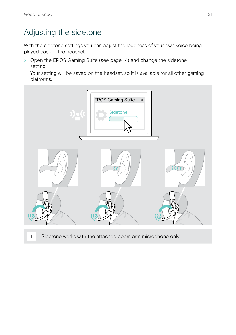## <span id="page-31-0"></span>Adjusting the sidetone

With the sidetone settings you can adjust the loudness of your own voice being played back in the headset.

> Open the EPOS Gaming Suite (see page [14](#page-14-1)) and change the sidetone setting.

Your setting will be saved on the headset, so it is available for all other gaming platforms.



i Sidetone works with the attached boom arm microphone only.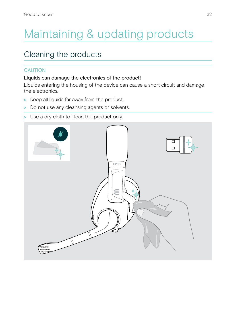## <span id="page-32-0"></span>Maintaining & updating products

### Cleaning the products

#### **CAUTION**

#### Liquids can damage the electronics of the product!

Liquids entering the housing of the device can cause a short circuit and damage the electronics.

- > Keep all liquids far away from the product.
- > Do not use any cleansing agents or solvents.
- > Use a dry cloth to clean the product only.

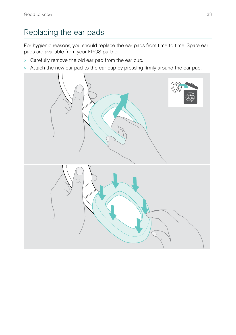## <span id="page-33-0"></span>Replacing the ear pads

For hygienic reasons, you should replace the ear pads from time to time. Spare ear pads are available from your EPOS partner.

- > Carefully remove the old ear pad from the ear cup.
- > Attach the new ear pad to the ear cup by pressing firmly around the ear pad.

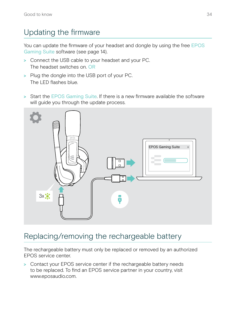## <span id="page-34-0"></span>Updating the firmware

You can update the firmware of your headset and dongle by using the free EPOS Gaming Suite software (see page [14\)](#page-14-1).

- > Connect the USB cable to your headset and your PC. The headset switches on. OR
- > Plug the dongle into the USB port of your PC. The LED flashes blue.
- > Start the EPOS Gaming Suite. If there is a new firmware available the software will guide you through the update process.



### Replacing/removing the rechargeable battery

The rechargeable battery must only be replaced or removed by an authorized EPOS service center.

> Contact your EPOS service center if the rechargeable battery needs to be replaced. To find an EPOS service partner in your country, visit www.eposaudio.com.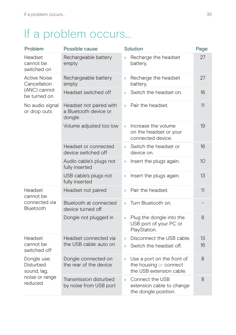## <span id="page-35-0"></span>If a problem occurs...

| Problem                                                              | Possible cause                                             | Solution                                                                               | Page     |
|----------------------------------------------------------------------|------------------------------------------------------------|----------------------------------------------------------------------------------------|----------|
| Headset<br>cannot be<br>switched on                                  | Rechargeable battery<br>empty                              | Recharge the headset<br>×<br>battery.                                                  | 27       |
| <b>Active Noise</b><br>Cancellation<br>(ANC) cannot<br>be turned on  | Rechargeable battery<br>empty                              | Recharge the headset<br>×<br>battery.                                                  | 27       |
|                                                                      | Headset switched off                                       | Switch the headset on.<br>s                                                            | 16       |
| No audio signal<br>or drop outs                                      | Headset not paired with<br>a Bluetooth device or<br>dongle | Pair the headset.<br>s                                                                 | 11       |
|                                                                      | Volume adjusted too low                                    | Increase the volume<br>$\geq$<br>on the headset or your<br>connected device.           | 19       |
|                                                                      | Headset or connected<br>device switched off                | Switch the headset or<br>×<br>device on.                                               | 16       |
|                                                                      | Audio cable's plugs not<br>fully inserted                  | Insert the plugs again.<br>>                                                           | 10       |
|                                                                      | USB cable's plugs not<br>fully inserted                    | Insert the plugs again.<br>s                                                           | 13       |
| Headset<br>cannot be<br>connected via<br>Bluetooth                   | Headset not paired                                         | Pair the headset.<br>s                                                                 | 11       |
|                                                                      | Bluetooth at connected<br>device turned off                | Turn Bluetooth on.<br>×                                                                |          |
|                                                                      | Dongle not plugged in                                      | Plug the dongle into the<br>$\geq$<br>USB port of your PC or<br>PlayStation.           | 8        |
| Headset<br>cannot be<br>switched off                                 | Headset connected via<br>the USB cable: auto on            | Disconnect the USB cable.<br>$\geq$<br>Switch the headset off.<br>×                    | 13<br>16 |
| Dongle use:<br>Disturbed<br>sound, lag,<br>noise or range<br>reduced | Dongle connected on<br>the rear of the device              | Use a port on the front of<br>×.<br>the housing or connect<br>the USB extension cable. | 8        |
|                                                                      | Transmission disturbed<br>by noise from USB port           | Connect the USB<br>$\geq$<br>extension cable to change<br>the dongle position.         | 8        |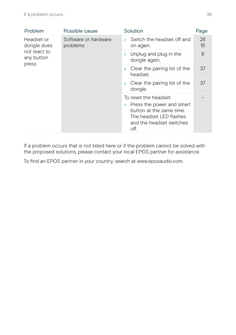| Problem                                                                      | Possible cause       | Solution                                                                                                                                           | Page     |
|------------------------------------------------------------------------------|----------------------|----------------------------------------------------------------------------------------------------------------------------------------------------|----------|
| Headset or<br>dongle does<br>problems<br>not react to<br>any button<br>press | Software or hardware | Switch the headset off and<br>s.<br>on again.                                                                                                      | 26<br>16 |
|                                                                              |                      | Unplug and plug in the<br>×<br>dongle again.                                                                                                       | 8        |
|                                                                              |                      | Clear the pairing list of the<br>> :<br>headset.                                                                                                   | 37       |
|                                                                              |                      | Clear the pairing list of the<br>×<br>dongle.                                                                                                      | 37       |
|                                                                              |                      | To reset the headset:<br>Press the power and smart<br>><br>button at the same time.<br>The headset LED flashes<br>and the headset switches<br>off. |          |

If a problem occurs that is not listed here or if the problem cannot be solved with the proposed solutions, please contact your local EPOS partner for assistance.

To find an EPOS partner in your country, search at www.eposaudio.com.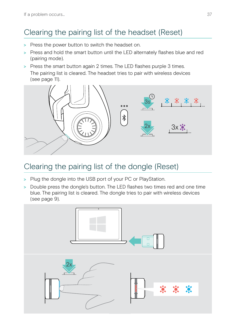## <span id="page-37-1"></span><span id="page-37-0"></span>Clearing the pairing list of the headset (Reset)

- > Press the power button to switch the headset on.
- > Press and hold the smart button until the LED alternately flashes blue and red (pairing mode).
- > Press the smart button again 2 times. The LED flashes purple 3 times. The pairing list is cleared. The headset tries to pair with wireless devices (see page [11\)](#page-11-1).



## <span id="page-37-2"></span>Clearing the pairing list of the dongle (Reset)

- > Plug the dongle into the USB port of your PC or PlayStation.
- > Double press the dongle's button. The LED flashes two times red and one time blue. The pairing list is cleared. The dongle tries to pair with wireless devices (see page [9\)](#page-9-1).

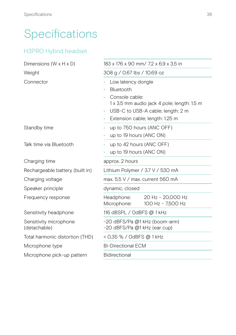## <span id="page-38-0"></span>Specifications

#### H3PRO Hybrid headset

| Dimensions ( $W \times H \times D$ )   | 183 x 176 x 90 mm/ 7.2 x 6.9 x 3.5 in                               |  |
|----------------------------------------|---------------------------------------------------------------------|--|
| Weight                                 | 308 g / 0.67 lbs / 10.69 oz                                         |  |
| Connector                              | Low latency dongle                                                  |  |
|                                        | Bluetooth                                                           |  |
|                                        | Console cable:                                                      |  |
|                                        | 1 x 3.5 mm audio jack 4 pole; length: 1.5 m                         |  |
|                                        | USB-C to USB-A cable; length: 2 m                                   |  |
|                                        | Extension cable; length: 1.25 m                                     |  |
| Standby time                           | up to 750 hours (ANC OFF)                                           |  |
|                                        | up to 19 hours (ANC ON)                                             |  |
| Talk time via Bluetooth                | up to 42 hours (ANC OFF)                                            |  |
|                                        | up to 19 hours (ANC ON)                                             |  |
| Charging time                          | approx. 2 hours                                                     |  |
| Rechargeable battery (built in)        | Lithium Polymer / 3.7 V / 530 mA                                    |  |
| Charging voltage                       | max, $5.5 \vee /$ max, current 560 mA                               |  |
| Speaker principle                      | dynamic, closed                                                     |  |
| Frequency response                     | Headphone:<br>20 Hz - 20,000 Hz<br>100 Hz - 7,500 Hz<br>Microphone: |  |
| Sensitivity headphone                  | 116 dBSPL / OdBFS @ 1 kHz                                           |  |
| Sensitivity microphone<br>(detachable) | -20 dBFS/Pa @1 kHz (boom-arm)<br>-20 dBFS/Pa @1 kHz (ear cup)       |  |
| Total harmonic distortion (THD)        | < 0,35 % / OdBFS @ 1 kHz                                            |  |
| Microphone type                        | <b>Bi-Directional ECM</b>                                           |  |
| Microphone pick-up pattern             | <b>Bidirectional</b>                                                |  |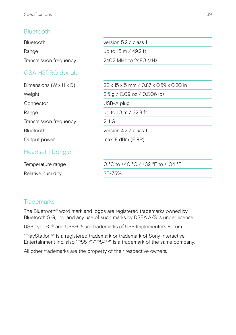#### Bluetooth

| Bluetooth                          | version 5.2 / class 1                  |
|------------------------------------|----------------------------------------|
| Range                              | up to 15 m / 49.2 ft                   |
| Transmission frequency             | 2402 MHz to 2480 MHz                   |
| GSA H3PRO dongle                   |                                        |
| Dimensions $(W \times H \times D)$ | 22 x 15 x 5 mm / 0.87 x 0.59 x 0.20 in |
| Weight                             | 2.5 g / 0.09 oz / 0.006 lbs            |
| Connector                          | USB-A plug                             |
| Range                              | up to 10 m / 32.8 ft                   |
| Transmission frequency             | $2.4\,$ G                              |
| Bluetooth                          | version 4.2 / class 1                  |
| Output power                       | $max. 8$ dBm (EIRP)                    |
| Headset   Dongle                   |                                        |
| Temperature range                  | 0 °C to +40 °C / +32 °F to +104 °F     |
| Relative humidity                  | 35~75%                                 |

#### **Trademarks**

The Bluetooth® word mark and logos are registered trademarks owned by Bluetooth SIG, Inc. and any use of such marks by DSEA A/S is under license.

USB Type-C® and USB-C® are trademarks of USB Implementers Forum.

"PlayStation®" is a registered trademark or trademark of Sony Interactive Entertainment Inc. also "PS5™"/"PS4™" is a trademark of the same company.

All other trademarks are the property of their respective owners.